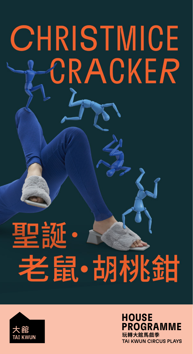# CHRISTMICE CRACKER

# 聖誕· 老鼠·胡桃甜



**玩轉大館馬戲季** TAI KWUN CIRCUS PLAYS **HOUSE** PROGRAMME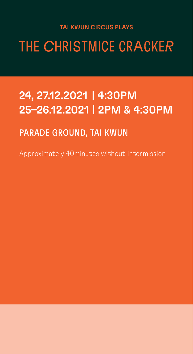### TAI KWUN CIRCUS PLAYS

THE CHRISTMICE CRACKER

# 24, 27.12.2021 | 4:30PM 25–26.12.2021 | 2PM & 4:30PM

# PARADE GROUND, TAI KWUN

Approximately 40minutes without intermission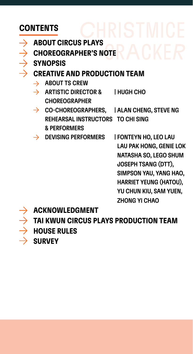# <span id="page-2-0"></span>CONTENTS

- $\rightarrow$  [ABOUT CIRCUS PLAYS](#page-3-0)  $\rightarrow$  [CHOREOGRAPHER'S NOTE](#page-5-0)  $\rightarrow$  [SYNOPSIS](#page-6-0)  $\rightarrow$  [CREATIVE AND PRODUCTION TEAM](#page-7-0)  $\rightarrow$  [ABOUT TS CREW](#page-8-0)  $\rightarrow$  ARTISTIC DIRECTOR & HUGH CHO CHOREOGRAPHER  $\rightarrow$  CO-CHOREOGRAPHERS, [| ALAN CHENG,](#page-11-0) [STEVE NG](#page-12-0) REHEARSAL INSTRUCTORS [TO CHI SING](#page-13-0) & PERFORMERS  $\rightarrow$  DEVISING PERFORMERS | [FONTEYN HO,](#page-14-0) [LEO LAU](#page-15-0) [LAU PAK HONG,](#page-16-0) [GENIE LOK](#page-17-0) [NATASHA SO,](#page-18-0) [LEGO SHUM](#page-20-0) [JOSEPH TSANG \(DTT\),](#page-22-0)  [SIMPSON YAU,](#page-23-0) [YANG HAO,](#page-24-0) [HARRIET YEUNG \(HATOU\),](#page-25-0)  [YU CHUN KIU,](#page-26-0) [SAM YUEN,](#page-27-0) [ZHONG YI CHAO](#page-28-0)
	- [ACKNOWLEDGMENT](#page-28-0)

[TAI KWUN CIRCUS PLAYS PRODUCTION TEAM](#page-29-0) [HOUSE RULES](#page-31-0)  $\rightarrow$  [SURVEY](#page-30-0)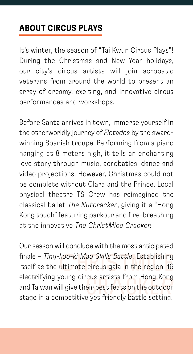# <span id="page-3-0"></span>ABOUT CIRCUS PLAYS

It's winter, the season of "Tai Kwun Circus Plays"! During the Christmas and New Year holidays, our city's circus artists will join acrobatic veterans from around the world to present an array of dreamy, exciting, and innovative circus performances and workshops.

Before Santa arrives in town, immerse yourself in the otherworldly journey of *Flotados* by the awardwinning Spanish troupe. Performing from a piano hanging at 8 meters high, it tells an enchanting love story through music, acrobatics, dance and video projections. However, Christmas could not be complete without Clara and the Prince. Local physical theatre TS Crew has reimagined the classical ballet *The Nutcracker*, giving it a "Hong Kong touch" featuring parkour and fire-breathing at the innovative *The ChristMice Cracker.*

Our season will conclude with the most anticipated finale – *Ting-koo-ki Mad Skills Battle*! Establishing itself as the ultimate circus gala in the region, 16 electrifying young circus artists from Hong Kong and Taiwan will give their best feats on the outdoor stage in a competitive yet friendly battle setting.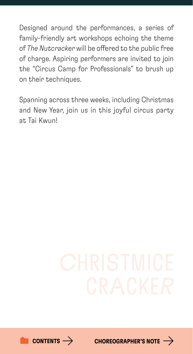Designed around the performances, a series of family-friendly art workshops echoing the theme of *The Nutcracker* will be offered to the public free of charge. Aspiring performers are invited to join the "Circus Camp for Professionals" to brush up on their techniques.

Spanning across three weeks, including Christmas and New Year, join us in this joyful circus party at Tai Kwun!



[CHOREOGRAPHER'S NOTE](#page-5-0)  $\rightarrow$ 

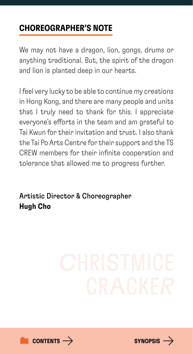# <span id="page-5-0"></span>CHOREOGRAPHER'S NOTE

We may not have a dragon, lion, gongs, drums or anything traditional. But, the spirit of the dragon and lion is planted deep in our hearts.

I feel very lucky to be able to continue my creations in Hong Kong, and there are many people and units that I truly need to thank for this. I appreciate everyone's efforts in the team and am grateful to Tai Kwun for their invitation and trust. I also thank the Tai Po Arts Centre for their support and the TS CREW members for their infinite cooperation and tolerance that allowed me to progress further.

Artistic Director & Choreographer Hugh Cho



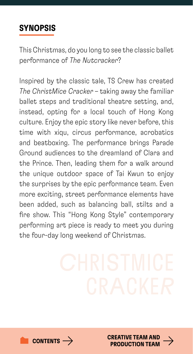# <span id="page-6-0"></span>SYNOPSIS

This Christmas, do you long to see the classic ballet performance of *The Nutcracker*?

Inspired by the classic tale, TS Crew has created *The ChristMice Cracker* – taking away the familiar ballet steps and traditional theatre setting, and, instead, opting for a local touch of Hong Kong culture. Enjoy the epic story like never before, this time with xiqu, circus performance, acrobatics and beatboxing. The performance brings Parade Ground audiences to the dreamland of Clara and the Prince. Then, leading them for a walk around the unique outdoor space of Tai Kwun to enjoy the surprises by the epic performance team. Even more exciting, street performance elements have been added, such as balancing ball, stilts and a fire show. This "Hong Kong Style" contemporary performing art piece is ready to meet you during the four-day long weekend of Christmas.



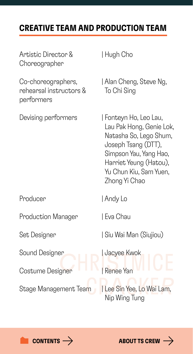# <span id="page-7-0"></span>CREATIVE TEAM AND PRODUCTION TEAM

| Artistic Director &<br>Choreographer                        | Hugh Cho                                                                                                                                                                                         |
|-------------------------------------------------------------|--------------------------------------------------------------------------------------------------------------------------------------------------------------------------------------------------|
| Co-choreographers,<br>rehearsal instructors &<br>performers | Alan Cheng, Steve Ng,<br>To Chi Sing                                                                                                                                                             |
| Devising performers                                         | Fonteyn Ho, Leo Lau,<br>Lau Pak Hong, Genie Lok,<br>Natasha So, Lego Shum,<br>Joseph Tsang (DTT),<br>Simpson Yau, Yang Hao,<br>Harriet Yeung (Hatou),<br>Yu Chun Kiu, Sam Yuen,<br>Zhong Yi Chao |
| Producer                                                    | Andy Lo                                                                                                                                                                                          |
| <b>Production Manager</b>                                   | I Eva Chau                                                                                                                                                                                       |
| Set Designer                                                | Siu Wai Man (Siujiou)                                                                                                                                                                            |
| Sound Designer                                              | Jacyee Kwok                                                                                                                                                                                      |
| Costume Designer                                            | Renee Yan                                                                                                                                                                                        |
| Stage Management Team                                       | Lee Sin Yee, Lo Wai Lam,<br>Nip Wing Tung                                                                                                                                                        |



**[CONTENTS](#page-2-0)**  $\rightarrow$  **[ABOUT TS CREW](#page-8-0)**  $\rightarrow$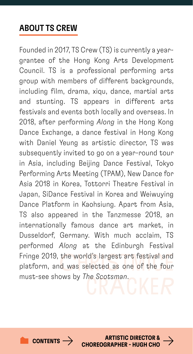# <span id="page-8-0"></span>ABOUT TS CREW

Founded in 2017, TS Crew (TS) is currently a yeargrantee of the Hong Kong Arts Development Council. TS is a professional performing arts group with members of different backgrounds, including film, drama, xiqu, dance, martial arts and stunting. TS appears in different arts festivals and events both locally and overseas. In 2018, after performing *Along* in the Hong Kong Dance Exchange, a dance festival in Hong Kong with Daniel Yeung as artistic director, TS was subsequently invited to go on a year-round tour in Asia, including Beijing Dance Festival, Tokyo Performing Arts Meeting (TPAM), New Dance for Asia 2018 in Korea, Tottorri Theatre Festival in Japan, SiDance Festival in Korea and Weiwuying Dance Platform in Kaohsiung. Apart from Asia, TS also appeared in the Tanzmesse 2018, an internationally famous dance art market, in Dusseldorf, Germany. With much acclaim, TS performed *Along* at the Edinburgh Festival Fringe 2019, the world's largest art festival and platform, and was selected as one of the four must-see shows by *The Scotsman*.

[CONTENTS](#page-2-0)  $\rightarrow$  ARTISTIC DIRECTOR & [CHOREOGRAPHER - HUGH CHO](#page-9-0)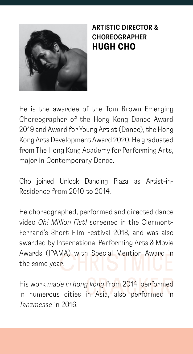<span id="page-9-0"></span>

# ARTISTIC DIRECTOR & CHOREOGRAPHER HUGH CHO

He is the awardee of the Tom Brown Emerging Choreographer of the Hong Kong Dance Award 2019 and Award for Young Artist (Dance), the Hong Kong Arts Development Award 2020. He graduated from The Hong Kong Academy for Performing Arts, major in Contemporary Dance.

Cho joined Unlock Dancing Plaza as Artist-in-Residence from 2010 to 2014.

He choreographed, performed and directed dance video *Oh! Million Fist!* screened in the Clermont-Ferrand's Short Film Festival 2018, and was also awarded by International Performing Arts & Movie Awards (IPAMA) with Special Mention Award in the same year.

His work *made in hong kong* from 2014, performed in numerous cities in Asia, also performed in *Tanzmesse* in 2016.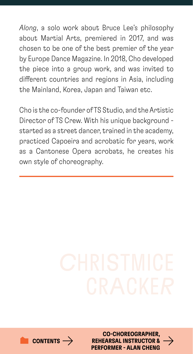*Along*, a solo work about Bruce Lee's philosophy about Martial Arts, premiered in 2017, and was chosen to be one of the best premier of the year by Europe Dance Magazine. In 2018, Cho developed the piece into a group work, and was invited to different countries and regions in Asia, including the Mainland, Korea, Japan and Taiwan etc.

Cho is the co-founder of TS Studio, and the Artistic Director of TS Crew. With his unique background started as a street dancer, trained in the academy, practiced Capoeira and acrobatic for years, work as a Cantonese Opera acrobats, he creates his own style of choreography.



CO-CHOREOGRAPHER, [REHEARSAL INSTRUCTOR &](#page-11-0)  $\rightarrow$ PERFORMER - ALAN CHENG

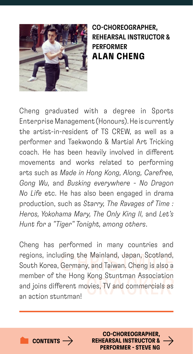<span id="page-11-0"></span>

# CO-CHOREOGRAPHER, REHEARSAL INSTRUCTOR & PERFORMER ALAN CHENG

Cheng graduated with a degree in Sports Enterprise Management (Honours). He is currently the artist-in-resident of TS CREW, as well as a performer and Taekwondo & Martial Art Tricking coach. He has been heavily involved in different movements and works related to performing arts such as *Made in Hong Kong, Along, Carefree, Gong Wu,* and *Busking everywhere - No Dragon No Life* etc. He has also been engaged in drama production, such as *Starry, The Ravages of Time : Heros, Yokohama Mary, The Only King II,* and *Let's Hunt for a "Tiger" Tonight, among others*.

Cheng has performed in many countries and regions, including the Mainland, Japan, Scotland, South Korea, Germany, and Taiwan. Cheng is also a member of the Hong Kong Stuntman Association and joins different movies, TV and commercials as an action stuntman!



CO-CHOREOGRAPHER, [REHEARSAL INSTRUCTOR &](#page-12-0)  $\rightarrow$ PERFORMER - STEVE NG

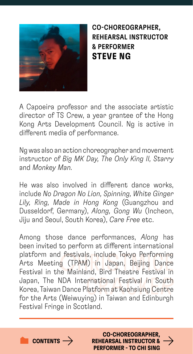<span id="page-12-0"></span>

CO-CHOREOGRAPHER, REHEARSAL INSTRUCTOR & PERFORMER STEVE NG

A Capoeira professor and the associate artistic director of TS Crew, a year grantee of the Hong Kong Arts Development Council. Ng is active in different media of performance.

Ng was also an action choreographer and movement instructor of *Big MK Day, The Only King II, Starry* and *Monkey Man.*

He was also involved in different dance works, include *No Dragon No Lion, Spinning, White Ginger Lily, Ring, Made in Hong Kong* (Guangzhou and Dusseldorf, Germany), *Along, Gong Wu* (Incheon, Jiju and Seoul, South Korea), *Care Free* etc.

Among those dance performances, *Along* has been invited to perform at different international platform and festivals, include Tokyo Performing Arts Meeting (TPAM) in Japan, Beijing Dance Festival in the Mainland, Bird Theatre Festival in Japan, The NDA International Festival in South Korea, Taiwan Dance Platform at Kaohsiung Centre for the Arts (Weiwuying) in Taiwan and Edinburgh Festival Fringe in Scotland.



[CONTENTS](#page-2-0)  $\rightarrow$ 

CO-CHOREOGRAPHER, [REHEARSAL INSTRUCTOR &](#page-13-0)  PERFORMER - TO CHI SING

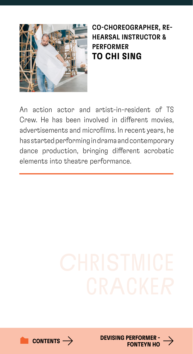<span id="page-13-0"></span>

# CO-CHOREOGRAPHER, RE-HEARSAL INSTRUCTOR & PERFORMER TO CHI SING

An action actor and artist-in-resident of TS Crew. He has been involved in different movies, advertisements and microfilms. In recent years, he has started performing in drama and contemporary dance production, bringing different acrobatic elements into theatre performance.



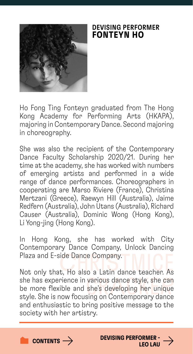<span id="page-14-0"></span>

### DEVISING PERFORMER FONTEYN HO

Ho Fong Ting Fonteyn graduated from The Hong Kong Academy for Performing Arts (HKAPA), majoring in Contemporary Dance. Second majoring in choreography.

She was also the recipient of the Contemporary Dance Faculty Scholarship 2020/21. During her time at the academy, she has worked with numbers of emerging artists and performed in a wide range of dance performances. Choreographers in cooperating are Marso Riviere (France), Christina Mertzani (Greece), Raewyn Hill (Australia), Jaime Redfern (Australia), John Utans (Australia), Richard Causer (Australia), Dominic Wong (Hong Kong), Li Yong-jing (Hong Kong).

In Hong Kong, she has worked with City Contemporary Dance Company, Unlock Dancing Plaza and E-side Dance Company.

Not only that, Ho also a Latin dance teacher. As she has experience in various dance style, she can be more flexible and she's developing her unique style. She is now focusing on Contemporary dance and enthusiastic to bring positive message to the society with her artistry.



[CONTENTS](#page-2-0)  $\rightarrow$ 

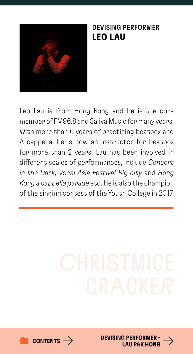<span id="page-15-0"></span>

### DEVISING PERFORMER LEO LAU

Leo Lau is from Hong Kong and he is the core member of FM96.8 and Saliva Music for many years. With more than 6 years of practicing beatbox and A cappella, he is now an instructor for beatbox for more than 2 years. Lau has been involved in different scales of performances, include *Concert in the Dark, Vocal Asia Festival Big city* and *Hong Kong a cappella parade* etc. He is also the champion of the singing contest of the Youth College in 2017.



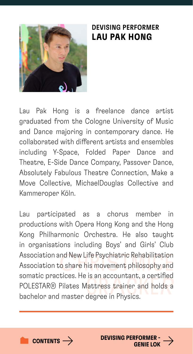<span id="page-16-0"></span>

### DEVISING PERFORMER LAU PAK HONG

Lau Pak Hong is a freelance dance artist graduated from the Cologne University of Music and Dance majoring in contemporary dance. He collaborated with different artists and ensembles including Y-Space, Folded Paper Dance and Theatre, E-Side Dance Company, Passover Dance, Absolutely Fabulous Theatre Connection, Make a Move Collective, MichaelDouglas Collective and Kammeroper Köln.

Lau participated as a chorus member in productions with Opera Hong Kong and the Hong Kong Philharmonic Orchestra. He also taught in organisations including Boys' and Girls' Club Association and New Life Psychiatric Rehabilitation Association to share his movement philosophy and somatic practices. He is an accountant, a certified POLESTAR® Pilates Mattress trainer and holds a bachelor and master degree in Physics.



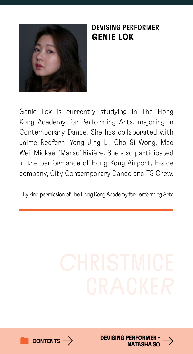<span id="page-17-0"></span>

### DEVISING PERFORMER GENIE LOK

Genie Lok is currently studying in The Hong Kong Academy for Performing Arts, majoring in Contemporary Dance. She has collaborated with Jaime Redfern, Yong Jing Li, Cho Si Wong, Mao Wei, Mickaël 'Marso' Rivière. She also participated in the performance of Hong Kong Airport, E-side company, City Contemporary Dance and TS Crew.

\*By kind permission of The Hong Kong Academy for Performing Arts



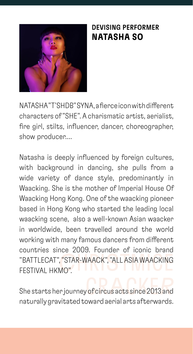<span id="page-18-0"></span>

# DEVISING PERFORMER NATASHA SO

NATASHA "T'SHDB" SYNA, a fierce icon with different characters of "SHE". A charismatic artist, aerialist, fire girl, stilts, influencer, dancer, choreographer, show producer....

Natasha is deeply influenced by foreign cultures, with background in dancing, she pulls from a wide variety of dance style, predominantly in Waacking. She is the mother of Imperial House Of Waacking Hong Kong. One of the waacking pioneer based in Hong Kong who started the leading local waacking scene, also a well-known Asian waacker in worldwide, been travelled around the world working with many famous dancers from different countries since 2009. Founder of iconic brand "BATTLECAT", "STAR-WAACK", "ALL ASIA WAACKING FESTIVAL HKMO".

She starts her journey of circus acts since 2013 and naturally gravitated toward aerial arts afterwards.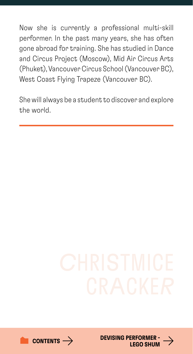Now she is currently a professional multi-skill performer. In the past many years, she has often gone abroad for training. She has studied in Dance and Circus Project (Moscow), Mid Air Circus Arts (Phuket), Vancouver Circus School (Vancouver BC), West Coast Flying Trapeze (Vancouver BC).

She will always be a student to discover and explore the world.



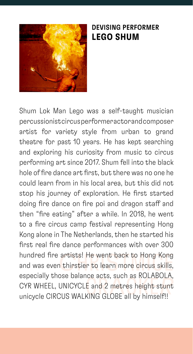<span id="page-20-0"></span>

### DEVISING PERFORMER LEGO SHUM

Shum Lok Man Lego was a self-taught musician percussionist circus performer actor and composer artist for variety style from urban to grand theatre for past 10 years. He has kept searching and exploring his curiosity from music to circus performing art since 2017. Shum fell into the black hole of fire dance art first, but there was no one he could learn from in his local area, but this did not stop his journey of exploration. He first started doing fire dance on fire poi and dragon staff and then "fire eating" after a while. In 2018, he went to a fire circus camp festival representing Hong Kong alone in The Netherlands, then he started his first real fire dance performances with over 300 hundred fire artists! He went back to Hong Kong and was even thirstier to learn more circus skills, especially those balance acts, such as ROLABOLA, CYR WHEEL, UNICYCLE and 2 metres height stunt unicycle CIRCUS WALKING GLOBE all by himself!!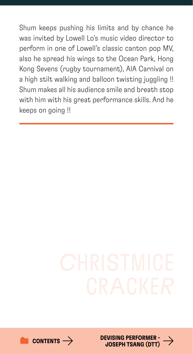Shum keeps pushing his limits and by chance he was invited by Lowell Lo's music video director to perform in one of Lowell's classic canton pop MV, also he spread his wings to the Ocean Park, Hong Kong Sevens (rugby tournament), AIA Carnival on a high stilt walking and balloon twisting juggling !! Shum makes all his audience smile and breath stop with him with his great performance skills. And he keeps on going !!



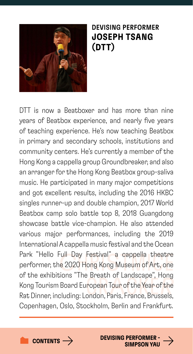<span id="page-22-0"></span>

DEVISING PERFORMER JOSEPH TSANG (DTT)

DTT is now a Beatboxer and has more than nine years of Beatbox experience, and nearly five years of teaching experience. He's now teaching Beatbox in primary and secondary schools, institutions and community centers. He's currently a member of the Hong Kong a cappella group Groundbreaker, and also an arranger for the Hong Kong Beatbox group-saliva music. He participated in many major competitions and got excellent results, including the 2016 HKBC singles runner-up and double champion, 2017 World Beatbox camp solo battle top 8, 2018 Guangdong showcase battle vice-champion. He also attended various major performances, including the 2019 International A cappella music festival and the Ocean Park "Hello Full Day Festival" a cappella theatre performer, the 2020 Hong Kong Museum of Art, one of the exhibitions "The Breath of Landscape", Hong Kong Tourism Board European Tour of the Year of the Rat Dinner, including: London, Paris, France, Brussels, Copenhagen, Oslo, Stockholm, Berlin and Frankfurt.





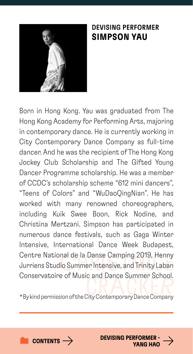<span id="page-23-0"></span>

### DEVISING PERFORMER SIMPSON YAU

Born in Hong Kong. Yau was graduated from The Hong Kong Academy for Performing Arts, majoring in contemporary dance. He is currently working in City Contemporary Dance Company as full-time dancer. And he was the recipient of The Hong Kong Jockey Club Scholarship and The Gifted Young Dancer Programme scholarship. He was a member of CCDC's scholarship scheme "612 mini dancers", "Teens of Colors" and "WuDaoQingNian". He has worked with many renowned choreographers, including Kuik Swee Boon, Rick Nodine, and Christina Mertzani. Simpson has participated in numerous dance festivals, such as Gaga Winter Intensive, International Dance Week Budapest, Centre National de la Danse Camping 2019, Henny Jurriens Studio Summer Intensive, and Trinity Laban Conservatoire of Music and Dance Summer School.

\*By kind permission of the City Contemporary Dance Company



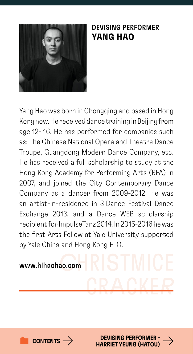<span id="page-24-0"></span>

### DEVISING PERFORMER YANG HAO

Yang Hao was born in Chongqing and based in Hong Kong now. He received dance training in Beijing from age 12- 16. He has performed for companies such as: The Chinese National Opera and Theatre Dance Troupe, Guangdong Modern Dance Company, etc. He has received a full scholarship to study at the Hong Kong Academy for Performing Arts (BFA) in 2007, and joined the City Contemporary Dance Company as a dancer from 2009-2012. He was an artist-in-residence in SIDance Festival Dance Exchange 2013, and a Dance WEB scholarship recipient for ImpulseTanz 2014. In 2015-2016 he was the first Arts Fellow at Yale University supported by Yale China and Hong Kong ETO.





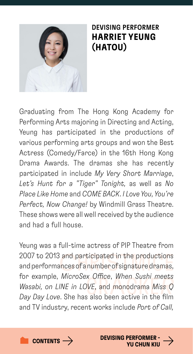<span id="page-25-0"></span>

# DEVISING PERFORMER HARRIET YEUNG (HATOU)

Graduating from The Hong Kong Academy for Performing Arts majoring in Directing and Acting, Yeung has participated in the productions of various performing arts groups and won the Best Actress (Comedy/Farce) in the 16th Hong Kong Drama Awards. The dramas she has recently participated in include *My Very Short Marriage*, *Let's Hunt for a "Tiger" Tonight,* as well as *No Place Like Home* and *COME BACK*. *I Love You, You're Perfect, Now Change!* by Windmill Grass Theatre. These shows were all well received by the audience and had a full house.

Yeung was a full-time actress of PIP Theatre from 2007 to 2013 and participated in the productions and performances of a number of signature dramas, for example, *MicroSex Office*, *When Sushi meets Wasabi, on LINE in LOVE*, and monodrama *Miss Q Day Day Love*. She has also been active in the film and TV industry, recent works include *Port of Call,* 





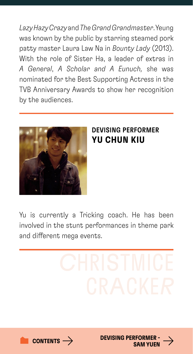<span id="page-26-0"></span>*Lazy Hazy Crazy* and *The Grand Grandmaster*. Yeung was known by the public by starring steamed pork patty master Laura Law Na in *Bounty Lady* (2013). With the role of Sister Ha, a leader of extras in *A General*, *A Scholar and A Eunuch,* she was nominated for the Best Supporting Actress in the TVB Anniversary Awards to show her recognition by the audiences.



### DEVISING PERFORMER YU CHUN KIU

Yu is currently a Tricking coach. He has been involved in the stunt performances in theme park and different mega events.



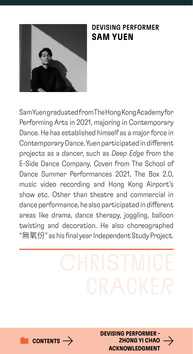<span id="page-27-0"></span>

### DEVISING PERFORMER SAM YUEN

Sam Yuen graduated from The Hong Kong Academy for Performing Arts in 2021, majoring in Contemporary Dance. He has established himself as a major force in Contemporary Dance. Yuen participated in different projects as a dancer, such as *Deep Edge* from the E-Side Dance Company, *Coven* from The School of Dance Summer Performances 2021, The Box 2.0, music video recording and Hong Kong Airport's show etc. Other than theatre and commercial in dance performance, he also participated in different areas like drama, dance therapy, joggling, balloon twisting and decoration. He also choreographed "無氧份" as his final year Independent Study Project.

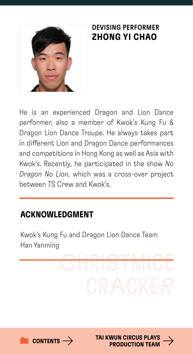<span id="page-28-0"></span>

# DEVISING PERFORMER ZHONG YI CHAO

He is an experienced Dragon and Lion Dance performer, also a member of Kwok's Kung Fu & Dragon Lion Dance Troupe. He always takes part in different Lion and Dragon Dance performances and competitions in Hong Kong as well as Asia with Kwok's. Recently, he participated in the show *No Dragon No Lion,* which was a cross-over project between TS Crew and Kwok's.

# ACKNOWLEDGMENT

Kwok's Kung Fu and Dragon Lion Dance Team Han Yanming



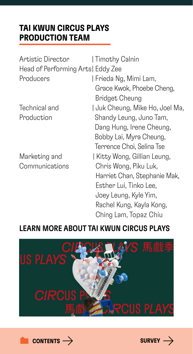# <span id="page-29-0"></span>TAI KWUN CIRCUS PLAYS PRODUCTION TEAM

| Artistic Director                  | Timothy Calnin                  |
|------------------------------------|---------------------------------|
| Head of Performing Arts   Eddy Zee |                                 |
| Producers                          | Frieda Ng, Mimi Lam,            |
|                                    | Grace Kwok, Phoebe Cheng,       |
|                                    | <b>Bridget Cheung</b>           |
| Technical and                      | J Juk Cheung, Mike Ho, Joel Ma, |
| Production                         | Shandy Leung, Juno Tam,         |
|                                    | Dang Hung, Irene Cheung,        |
|                                    | Bobby Lai, Myra Cheung,         |
|                                    | Terrence Choi, Selina Tse       |
| Marketing and                      | Kitty Wong, Gillian Leung,      |
| Communications                     | Chris Wong, Piku Luk,           |
|                                    | Harriet Chan, Stephanie Mak,    |
|                                    | Esther Lui, Tinko Lee,          |
|                                    | Joey Leung, Kyle Yim,           |
|                                    | Rachel Kung, Kayla Kong,        |
|                                    | Ching Lam, Topaz Chiu           |

# LEARN MORE ABOUT TAI KWUN CIRCUS PLAYS





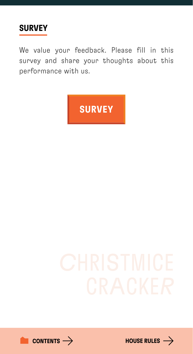<span id="page-30-0"></span>

We value your feedback. Please fill in this survey and share your thoughts about this performance with us.